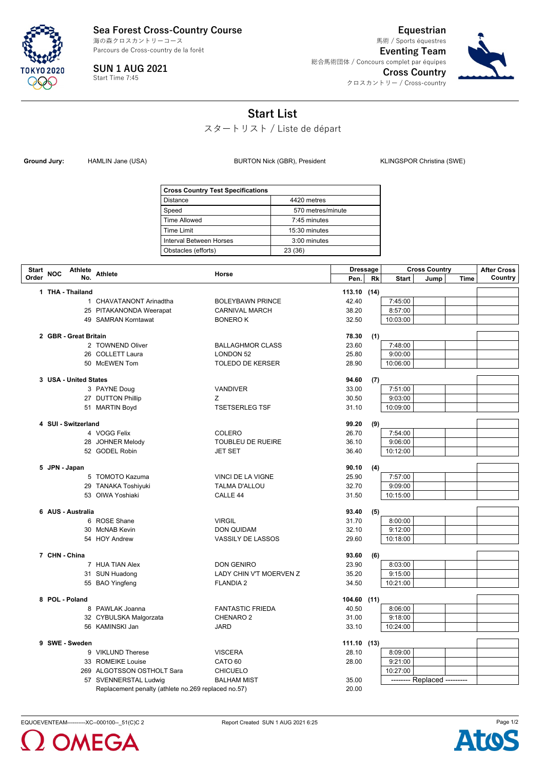**Sea Forest Cross-Country Course**

Parcours de Cross-country de la forêt 海の森クロスカントリーコース



**SUN 1 AUG 2021** Start Time 7:45

**Equestrian Eventing Team** 総合馬術団体 / Concours complet par équipes **Cross Country** クロスカントリー / Cross-country 馬術 / Sports équestres



## **Start List**

スタートリスト / Liste de départ

Ground Jury: HAMLIN Jane (USA) **BURTON Nick (GBR), President** KLINGSPOR Christina (SWE)

| <b>Cross Country Test Specifications</b> |                   |  |  |  |  |  |
|------------------------------------------|-------------------|--|--|--|--|--|
| <b>Distance</b>                          | 4420 metres       |  |  |  |  |  |
| Speed                                    | 570 metres/minute |  |  |  |  |  |
| <b>Time Allowed</b>                      | 7:45 minutes      |  |  |  |  |  |
| Time Limit                               | 15:30 minutes     |  |  |  |  |  |
| Interval Between Horses                  | $3:00$ minutes    |  |  |  |  |  |
| Obstacles (efforts)                      | 23 (36)           |  |  |  |  |  |

| Start | <b>NOC</b>            | Athlete Athlete<br>Horse                            | <b>Dressage</b>          |                | <b>Cross Country</b> |          | <b>After Cross</b>          |         |  |
|-------|-----------------------|-----------------------------------------------------|--------------------------|----------------|----------------------|----------|-----------------------------|---------|--|
| Order | No.                   |                                                     | Pen.                     | Rk             | <b>Start</b>         | Jump     | <b>Time</b>                 | Country |  |
|       | 1 THA - Thailand      |                                                     |                          | 113.10 (14)    |                      |          |                             |         |  |
|       |                       | 1 CHAVATANONT Arinadtha                             | <b>BOLEYBAWN PRINCE</b>  | 42.40          |                      | 7:45:00  |                             |         |  |
|       |                       | 25 PITAKANONDA Weerapat                             | <b>CARNIVAL MARCH</b>    | 38.20          |                      | 8:57:00  |                             |         |  |
|       |                       | 49 SAMRAN Korntawat                                 | <b>BONEROK</b>           | 32.50          |                      | 10:03:00 |                             |         |  |
|       |                       |                                                     |                          |                |                      |          |                             |         |  |
|       | 2 GBR - Great Britain |                                                     |                          | 78.30          | (1)                  |          |                             |         |  |
|       |                       | 2 TOWNEND Oliver                                    | <b>BALLAGHMOR CLASS</b>  | 23.60          |                      | 7:48:00  |                             |         |  |
|       |                       | 26 COLLETT Laura                                    | <b>LONDON 52</b>         | 25.80          |                      | 9:00:00  |                             |         |  |
|       |                       | 50 McEWEN Tom                                       | <b>TOLEDO DE KERSER</b>  | 28.90          |                      | 10:06:00 |                             |         |  |
|       | 3 USA - United States |                                                     |                          | 94.60          | (7)                  |          |                             |         |  |
|       |                       | 3 PAYNE Doug                                        | <b>VANDIVER</b>          | 33.00          |                      | 7:51:00  |                             |         |  |
|       |                       | 27 DUTTON Phillip                                   | Z.                       | 30.50          |                      | 9:03:00  |                             |         |  |
|       |                       | 51 MARTIN Boyd                                      | <b>TSETSERLEG TSF</b>    | 31.10          |                      | 10:09:00 |                             |         |  |
|       |                       |                                                     |                          |                |                      |          |                             |         |  |
|       | 4 SUI - Switzerland   |                                                     |                          | 99.20          | (9)                  |          |                             |         |  |
|       |                       | 4 VOGG Felix                                        | COLERO                   | 26.70          |                      | 7:54:00  |                             |         |  |
|       |                       | 28 JOHNER Melody                                    | <b>TOUBLEU DE RUEIRE</b> | 36.10          |                      | 9:06:00  |                             |         |  |
|       |                       | 52 GODEL Robin                                      | <b>JET SET</b>           | 36.40          |                      | 10:12:00 |                             |         |  |
|       |                       |                                                     |                          |                |                      |          |                             |         |  |
|       | 5 JPN - Japan         | 5 TOMOTO Kazuma                                     | VINCI DE LA VIGNE        | 90.10<br>25.90 | (4)                  | 7:57:00  |                             |         |  |
|       |                       | 29 TANAKA Toshiyuki                                 | <b>TALMA D'ALLOU</b>     | 32.70          |                      | 9:09:00  |                             |         |  |
|       |                       | 53 OIWA Yoshiaki                                    | CALLE <sub>44</sub>      | 31.50          |                      | 10:15:00 |                             |         |  |
|       |                       |                                                     |                          |                |                      |          |                             |         |  |
|       | 6 AUS - Australia     |                                                     |                          | 93.40          | (5)                  |          |                             |         |  |
|       |                       | 6 ROSE Shane                                        | <b>VIRGIL</b>            | 31.70          |                      | 8:00:00  |                             |         |  |
|       |                       | 30 McNAB Kevin                                      | <b>DON QUIDAM</b>        | 32.10          |                      | 9:12:00  |                             |         |  |
|       |                       | 54 HOY Andrew                                       | VASSILY DE LASSOS        | 29.60          |                      | 10:18:00 |                             |         |  |
|       |                       |                                                     |                          |                |                      |          |                             |         |  |
|       | 7 CHN - China         |                                                     |                          | 93.60          | (6)                  |          |                             |         |  |
|       |                       | 7 HUA TIAN Alex                                     | <b>DON GENIRO</b>        | 23.90          |                      | 8:03:00  |                             |         |  |
|       |                       | 31 SUN Huadong                                      | LADY CHIN V'T MOERVEN Z  | 35.20          |                      | 9:15:00  |                             |         |  |
|       |                       | 55 BAO Yingfeng                                     | <b>FLANDIA 2</b>         | 34.50          |                      | 10:21:00 |                             |         |  |
|       | 8 POL - Poland        |                                                     |                          | 104.60 (11)    |                      |          |                             |         |  |
|       |                       | 8 PAWLAK Joanna                                     | <b>FANTASTIC FRIEDA</b>  | 40.50          |                      | 8:06:00  |                             |         |  |
|       |                       | 32 CYBULSKA Malgorzata                              | CHENARO <sub>2</sub>     | 31.00          |                      | 9:18:00  |                             |         |  |
|       |                       | 56 KAMINSKI Jan                                     | <b>JARD</b>              | 33.10          |                      | 10:24:00 |                             |         |  |
|       |                       |                                                     |                          |                |                      |          |                             |         |  |
|       | 9 SWE - Sweden        |                                                     |                          | 111.10 (13)    |                      |          |                             |         |  |
|       |                       | 9 VIKLUND Therese                                   | <b>VISCERA</b>           | 28.10          |                      | 8:09:00  |                             |         |  |
|       |                       | 33 ROMEIKE Louise                                   | CATO <sub>60</sub>       | 28.00          |                      | 9:21:00  |                             |         |  |
|       |                       | 269 ALGOTSSON OSTHOLT Sara                          | <b>CHICUELO</b>          |                |                      | 10:27:00 |                             |         |  |
|       |                       | 57 SVENNERSTAL Ludwig                               | <b>BALHAM MIST</b>       | 35.00          |                      |          | -------- Replaced --------- |         |  |
|       |                       | Replacement penalty (athlete no.269 replaced no.57) |                          | 20.00          |                      |          |                             |         |  |